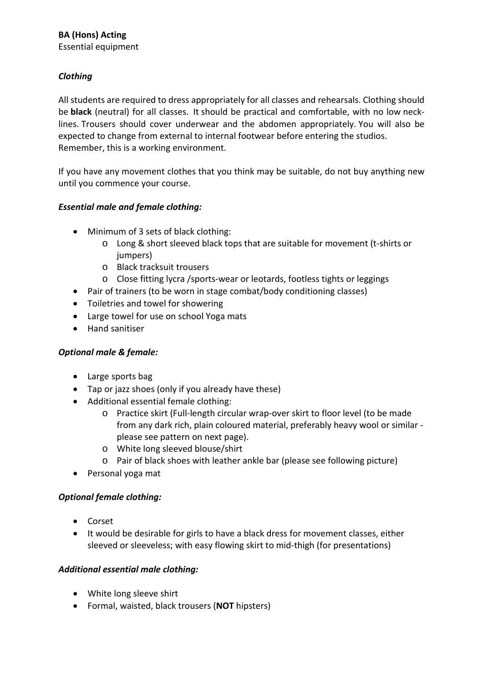Essential equipment

# *Clothing*

All students are required to dress appropriately for all classes and rehearsals. Clothing should be **black** (neutral) for all classes.  It should be practical and comfortable, with no low necklines. Trousers should cover underwear and the abdomen appropriately. You will also be expected to change from external to internal footwear before entering the studios.  Remember, this is a working environment.

If you have any movement clothes that you think may be suitable, do not buy anything new until you commence your course.

## *Essential male and female clothing:*

- Minimum of 3 sets of black clothing:
	- o Long & short sleeved black tops that are suitable for movement (t-shirts or jumpers)
	- o Black tracksuit trousers
	- o Close fitting lycra /sports-wear or leotards, footless tights or leggings
- Pair of trainers (to be worn in stage combat/body conditioning classes)
- Toiletries and towel for showering
- Large towel for use on school Yoga mats
- Hand sanitiser

#### *Optional male & female:*

- Large sports bag
- Tap or jazz shoes (only if you already have these)
- Additional essential female clothing:
	- o Practice skirt (Full-length circular wrap-over skirt to floor level (to be made from any dark rich, plain coloured material, preferably heavy wool or similar  please see pattern on next page).
	- o White long sleeved blouse/shirt
	- o Pair of black shoes with leather ankle bar (please see following picture)
- Personal yoga mat

#### *Optional female clothing:*

- Corset
- It would be desirable for girls to have a black dress for movement classes, either sleeved or sleeveless; with easy flowing skirt to mid-thigh (for presentations)

#### *Additional essential male clothing:*

- White long sleeve shirt
- Formal, waisted, black trousers (**NOT** hipsters)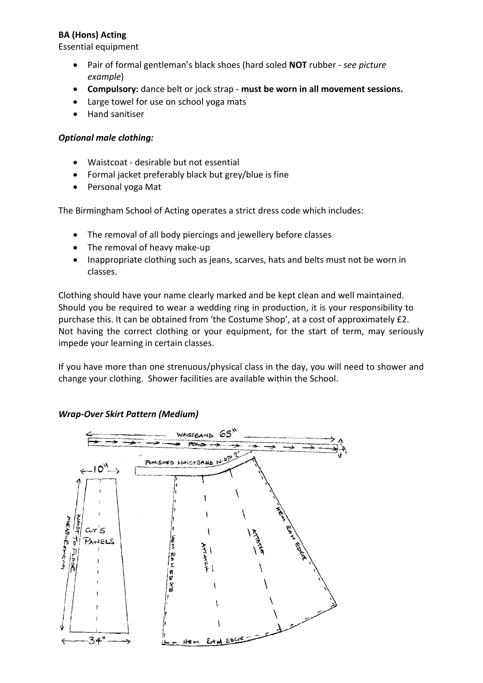## **BA (Hons) Acting**

Essential equipment

- Pair of formal gentleman's black shoes (hard soled **NOT** rubber *see picture example*)
- **Compulsory:** dance belt or jock strap **must be worn in all movement sessions.**
- Large towel for use on school yoga mats
- Hand sanitiser

#### *Optional male clothing:*

- Waistcoat desirable but not essential
- Formal jacket preferably black but grey/blue is fine
- Personal yoga Mat

The Birmingham School of Acting operates a strict dress code which includes:

- The removal of all body piercings and jewellery before classes
- The removal of heavy make-up
- Inappropriate clothing such as jeans, scarves, hats and belts must not be worn in classes.

Clothing should have your name clearly marked and be kept clean and well maintained. Should you be required to wear a wedding ring in production, it is your responsibility to purchase this. It can be obtained from 'the Costume Shop', at a cost of approximately £2. Not having the correct clothing or your equipment, for the start of term, may seriously impede your learning in certain classes.

If you have more than one strenuous/physical class in the day, you will need to shower and change your clothing.  Shower facilities are available within the School.

#### *Wrap-Over Skirt Pattern (Medium)*